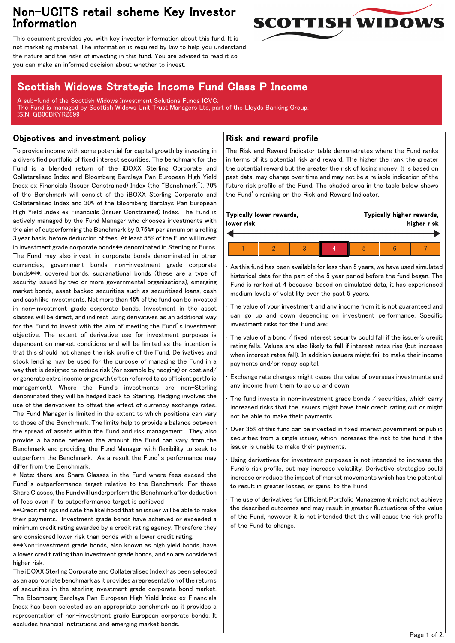# Non-UCITS retail scheme Key Investor Information



This document provides you with key investor information about this fund. It is not marketing material. The information is required by law to help you understand the nature and the risks of investing in this fund. You are advised to read it so you can make an informed decision about whether to invest.

## Scottish Widows Strategic Income Fund Class P Income

A sub-fund of the Scottish Widows Investment Solutions Funds ICVC. The Fund is managed by Scottish Widows Unit Trust Managers Ltd, part of the Lloyds Banking Group. ISIN: GB00BKYRZ899

### Objectives and investment policy

To provide income with some potential for capital growth by investing in a diversified portfolio of fixed interest securities. The benchmark for the Fund is a blended return of the iBOXX Sterling Corporate and Collateralised Index and Bloomberg Barclays Pan European High Yield Index ex Financials (Issuer Constrained) Index (the "Benchmark"). 70% of the Benchmark will consist of the iBOXX Sterling Corporate and Collateralised Index and 30% of the Bloomberg Barclays Pan European High Yield Index ex Financials (Issuer Constrained) Index. The Fund is actively managed by the Fund Manager who chooses investments with the aim of outperforming the Benchmark by 0.75%\* per annum on a rolling 3 year basis, before deduction of fees. At least 55% of the Fund will invest in investment grade corporate bonds\*\* denominated in Sterling or Euros. The Fund may also invest in corporate bonds denominated in other currencies, government bonds, non-investment grade corporate bonds\*\*\*, covered bonds, supranational bonds (these are a type of security issued by two or more governmental organisations), emerging market bonds, asset backed securities such as securitised loans, cash and cash like investments. Not more than 45% of the fund can be invested in non-investment grade corporate bonds. Investment in the asset classes will be direct, and indirect using derivatives as an additional way for the Fund to invest with the aim of meeting the Fund's investment objective. The extent of derivative use for investment purposes is dependent on market conditions and will be limited as the intention is that this should not change the risk profile of the Fund. Derivatives and stock lending may be used for the purpose of managing the Fund in a way that is designed to reduce risk (for example by hedging) or cost and/ or generate extra income or growth (often referred to as efficient portfolio management). Where the Fund's investments are non-Sterling denominated they will be hedged back to Sterling. Hedging involves the use of the derivatives to offset the effect of currency exchange rates. The Fund Manager is limited in the extent to which positions can vary to those of the Benchmark. The limits help to provide a balance between the spread of assets within the Fund and risk management. They also provide a balance between the amount the Fund can vary from the Benchmark and providing the Fund Manager with flexibility to seek to outperform the Benchmark. As a result the Fund's performance may differ from the Benchmark.

\* Note: there are Share Classes in the Fund where fees exceed the Fund's outperformance target relative to the Benchmark. For those Share Classes, the Fund will underperform the Benchmark after deduction of fees even if its outperformance target is achieved

\*\*Credit ratings indicate the likelihood that an issuer will be able to make their payments. Investment grade bonds have achieved or exceeded a minimum credit rating awarded by a credit rating agency. Therefore they are considered lower risk than bonds with a lower credit rating.

\*\*\*Non-investment grade bonds, also known as high yield bonds, have a lower credit rating than investment grade bonds, and so are considered higher risk.

The iBOXX Sterling Corporate and Collateralised Index has been selected as an appropriate benchmark as it provides a representation of the returns of securities in the sterling investment grade corporate bond market. The Bloomberg Barclays Pan European High Yield Index ex Financials Index has been selected as an appropriate benchmark as it provides a representation of non-investment grade European corporate bonds. It excludes financial institutions and emerging market bonds.

### Risk and reward profile

The Risk and Reward Indicator table demonstrates where the Fund ranks in terms of its potential risk and reward. The higher the rank the greater the potential reward but the greater the risk of losing money. It is based on past data, may change over time and may not be a reliable indication of the future risk profile of the Fund. The shaded area in the table below shows the Fund's ranking on the Risk and Reward Indicator.

| Typically lower rewards, |  |  |  | Typically higher rewards, |  |  |  |
|--------------------------|--|--|--|---------------------------|--|--|--|
| lower risk               |  |  |  | higher risk               |  |  |  |
|                          |  |  |  |                           |  |  |  |

• As this fund has been available for less than 5 years, we have used simulated historical data for the part of the 5 year period before the fund began. The Fund is ranked at 4 because, based on simulated data, it has experienced medium levels of volatility over the past 5 years.

The value of your investment and any income from it is not guaranteed and can go up and down depending on investment performance. Specific investment risks for the Fund are:

The value of a bond / fixed interest security could fall if the issuer's credit rating falls. Values are also likely to fall if interest rates rise (but increase when interest rates fall). In addition issuers might fail to make their income payments and/or repay capital.

• Exchange rate changes might cause the value of overseas investments and any income from them to go up and down.

The fund invests in non-investment grade bonds / securities, which carry increased risks that the issuers might have their credit rating cut or might not be able to make their payments.

• Over 35% of this fund can be invested in fixed interest government or public securities from a single issuer, which increases the risk to the fund if the issuer is unable to make their payments.

Using derivatives for investment purposes is not intended to increase the Fund's risk profile, but may increase volatility. Derivative strategies could increase or reduce the impact of market movements which has the potential to result in greater losses, or gains, to the Fund.

The use of derivatives for Efficient Portfolio Management might not achieve the described outcomes and may result in greater fluctuations of the value of the Fund, however it is not intended that this will cause the risk profile of the Fund to change.